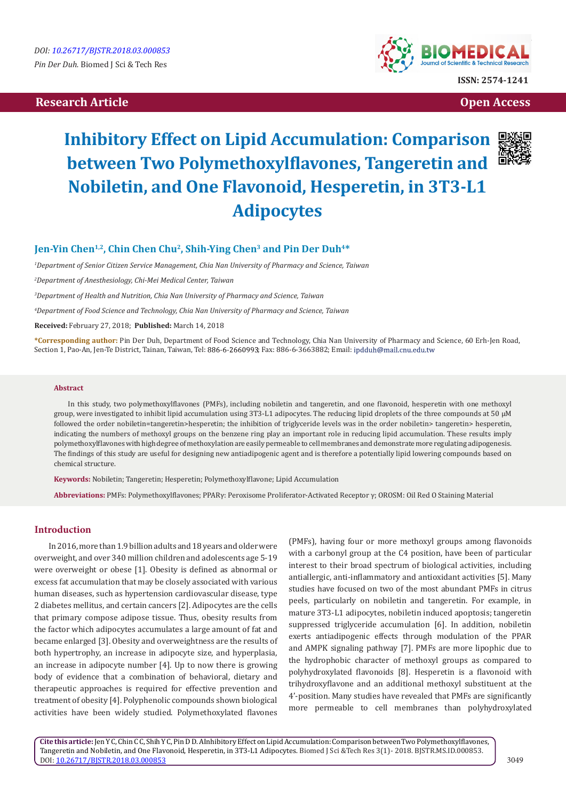# **Research Article Open Access**



# **Inhibitory Effect on Lipid Accumulation: Comparison between Two Polymethoxylflavones, Tangeretin and Nobiletin, and One Flavonoid, Hesperetin, in 3T3-L1 Adipocytes**



## **Jen-Yin Chen1,2, Chin Chen Chu2, Shih-Ying Chen3 and Pin Der Duh4\***

*1 Department of Senior Citizen Service Management, Chia Nan University of Pharmacy and Science, Taiwan* 

*2 Department of Anesthesiology, Chi-Mei Medical Center, Taiwan* 

*3 Department of Health and Nutrition, Chia Nan University of Pharmacy and Science, Taiwan*

*4 Department of Food Science and Technology, Chia Nan University of Pharmacy and Science, Taiwan*

**Received:** February 27, 2018; **Published:** March 14, 2018

**\*Corresponding author:** Pin Der Duh, Department of Food Science and Technology, Chia Nan University of Pharmacy and Science, 60 Erh-Jen Road, Section 1, Pao-An, Jen-Te District, Tainan, Taiwan, Tel: 886-6-2660993; Fax: 886-6-3663882; Email: ipdduh@mail.cnu.edu.tw

#### **Abstract**

In this study, two polymethoxylflavones (PMFs), including nobiletin and tangeretin, and one flavonoid, hesperetin with one methoxyl group, were investigated to inhibit lipid accumulation using 3T3-L1 adipocytes. The reducing lipid droplets of the three compounds at 50 μM followed the order nobiletin=tangeretin>hesperetin; the inhibition of triglyceride levels was in the order nobiletin> tangeretin> hesperetin, indicating the numbers of methoxyl groups on the benzene ring play an important role in reducing lipid accumulation. These results imply polymethoxylflavones with high degree of methoxylation are easily permeable to cell membranes and demonstrate more regulating adipogenesis. The findings of this study are useful for designing new antiadipogenic agent and is therefore a potentially lipid lowering compounds based on chemical structure.

**Keywords:** Nobiletin; Tangeretin; Hesperetin; Polymethoxylflavone; Lipid Accumulation

**Abbreviations:** PMFs: Polymethoxylflavones; PPARγ: Peroxisome Proliferator-Activated Receptor γ; OROSM: Oil Red O Staining Material

#### **Introduction**

In 2016, more than 1.9 billion adults and 18 years and older were overweight, and over 340 million children and adolescents age 5-19 were overweight or obese [1]. Obesity is defined as abnormal or excess fat accumulation that may be closely associated with various human diseases, such as hypertension cardiovascular disease, type 2 diabetes mellitus, and certain cancers [2]. Adipocytes are the cells that primary compose adipose tissue. Thus, obesity results from the factor which adipocytes accumulates a large amount of fat and became enlarged [3]. Obesity and overweightness are the results of both hypertrophy, an increase in adipocyte size, and hyperplasia, an increase in adipocyte number [4]. Up to now there is growing body of evidence that a combination of behavioral, dietary and therapeutic approaches is required for effective prevention and treatment of obesity [4]. Polyphenolic compounds shown biological activities have been widely studied. Polymethoxylated flavones

(PMFs), having four or more methoxyl groups among flavonoids with a carbonyl group at the C4 position, have been of particular interest to their broad spectrum of biological activities, including antiallergic, anti-inflammatory and antioxidant activities [5]. Many studies have focused on two of the most abundant PMFs in citrus peels, particularly on nobiletin and tangeretin. For example, in mature 3T3-L1 adipocytes, nobiletin induced apoptosis; tangeretin suppressed triglyceride accumulation [6]. In addition, nobiletin exerts antiadipogenic effects through modulation of the PPAR and AMPK signaling pathway [7]. PMFs are more lipophic due to the hydrophobic character of methoxyl groups as compared to polyhydroxylated flavonoids [8]. Hesperetin is a flavonoid with trihydroxyflavone and an additional methoxyl substituent at the 4'-position. Many studies have revealed that PMFs are significantly more permeable to cell membranes than polyhydroxylated

**Cite this article:**Jen Y C, Chin C C, Shih Y C, Pin D D. AInhibitory Effect on Lipid Accumulation: Comparison between Two Polymethoxylflavones, Tangeretin and Nobiletin, and One Flavonoid, Hesperetin, in 3T3-L1 Adipocytes. Biomed J Sci &Tech Res 3(1)- 2018. BJSTR.MS.ID.000853. DOI: [10.26717/BJSTR.2018.03.000853](http://dx.doi.org/10.26717/BJSTR.2018.03.000853)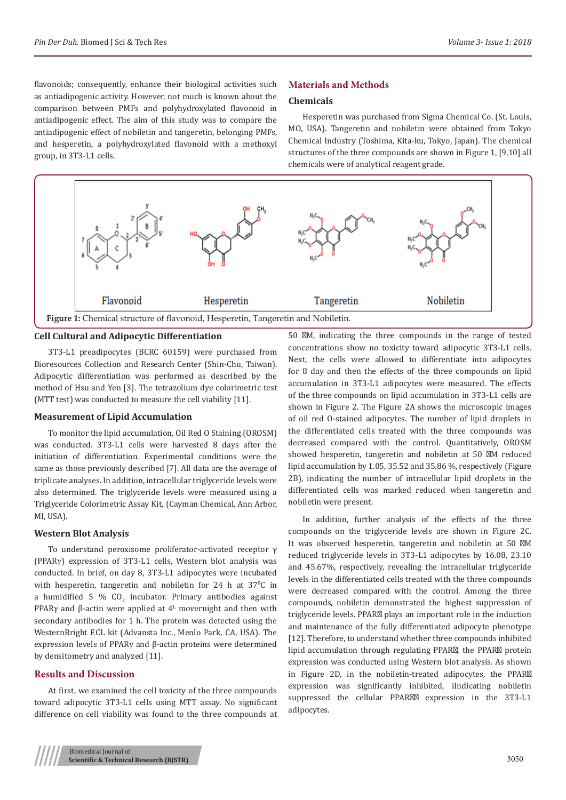flavonoids; consequently, enhance their biological activities such as antiadipogenic activity. However, not much is known about the comparison between PMFs and polyhydroxylated flavonoid in antiadipogenic effect. The aim of this study was to compare the antiadipogenic effect of nobiletin and tangeretin, belonging PMFs, and hesperetin, a polyhydroxylated flavonoid with a methoxyl group, in 3T3-L1 cells.

#### **Materials and Methods**

#### **Chemicals**

Hesperetin was purchased from Sigma Chemical Co. (St. Louis, MO, USA). Tangeretin and nobiletin were obtained from Tokyo Chemical Industry (Toshima, Kita-ku, Tokyo, Japan). The chemical structures of the three compounds are shown in Figure 1, [9,10] all chemicals were of analytical reagent grade.



#### **Cell Cultural and Adipocytic Differentiation**

3T3-L1 preadipocytes (BCRC 60159) were purchased from Bioresources Collection and Research Center (Shin-Chu, Taiwan). Adipocytic differentiation was performed as described by the method of Hsu and Yen [3]. The tetrazolium dye colorimetric test (MTT test) was conducted to measure the cell viability [11].

#### **Measurement of Lipid Accumulation**

To monitor the lipid accumulation, Oil Red O Staining (OROSM) was conducted. 3T3-L1 cells were harvested 8 days after the initiation of differentiation. Experimental conditions were the same as those previously described [7]. All data are the average of triplicate analyses. In addition, intracellular triglyceride levels were also determined. The triglyceride levels were measured using a Triglyceride Colorimetric Assay Kit, (Cayman Chemical, Ann Arbor, MI, USA).

#### **Western Blot Analysis**

To understand peroxisome proliferator-activated receptor γ (PPARγ) expression of 3T3-L1 cells, Western blot analysis was conducted. In brief, on day 8, 3T3-L1 adipocytes were incubated with hesperetin, tangeretin and nobiletin for 24 h at  $37^{\circ}$ C in a humidified 5 % CO<sub>2</sub> incubator. Primary antibodies against PPAR $\gamma$  and  $\beta$ -actin were applied at  $4^{\text{L}}$  movernight and then with secondary antibodies for 1 h. The protein was detected using the WesternBright ECL kit (Advansta Inc., Menlo Park, CA, USA). The expression levels of PPARγ and β-actin proteins were determined by densitometry and analyzed [11].

#### **Results and Discussion**

At first, we examined the cell toxicity of the three compounds toward adipocytic 3T3-L1 cells using MTT assay. No significant difference on cell viability was found to the three compounds at 50 M, indicating the three compounds in the range of tested concentrations show no toxicity toward adipocytic 3T3-L1 cells. Next, the cells were allowed to differentiate into adipocytes for 8 day and then the effects of the three compounds on lipid accumulation in 3T3-L1 adipocytes were measured. The effects of the three compounds on lipid accumulation in 3T3-L1 cells are shown in Figure 2. The Figure 2A shows the microscopic images of oil red O-stained adipocytes. The number of lipid droplets in the differentiated cells treated with the three compounds was decreased compared with the control. Quantitatively, OROSM showed hesperetin, tangeretin and nobiletin at 50 M reduced lipid accumulation by 1.05, 35.52 and 35.86 %, respectively (Figure 2B), indicating the number of intracellular lipid droplets in the differentiated cells was marked reduced when tangeretin and nobiletin were present.

In addition, further analysis of the effects of the three compounds on the triglyceride levels are shown in Figure 2C. It was observed hesperetin, tangeretin and nobiletin at 50 M reduced triglyceride levels in 3T3-L1 adipocytes by 16.08, 23.10 and 45.67%, respectively, revealing the intracellular triglyceride levels in the differentiated cells treated with the three compounds were decreased compared with the control. Among the three compounds, nobiletin demonstrated the highest suppression of triglyceride levels. PPAR plays an important role in the induction and maintenance of the fully differentiated adipocyte phenotype [12]. Therefore, to understand whether three compounds inhibited lipid accumulation through regulating PPAR , the PPAR protein expression was conducted using Western blot analysis. As shown in Figure 2D, in the nobiletin-treated adipocytes, the PPAR expression was significantly inhibited, iIndicating nobiletin suppressed the cellular PPAR expression in the 3T3-L1 adipocytes.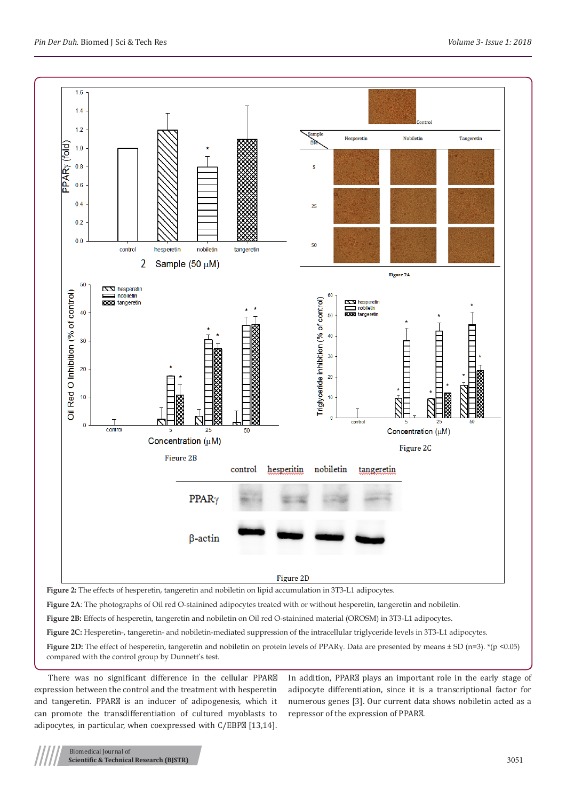

**Figure 2A**: The photographs of Oil red O-stainined adipocytes treated with or without hesperetin, tangeretin and nobiletin.

**Figure 2B:** Effects of hesperetin, tangeretin and nobiletin on Oil red O-stainined material (OROSM) in 3T3-L1 adipocytes.

**Figure 2C:** Hesperetin-, tangeretin- and nobiletin-mediated suppression of the intracellular triglyceride levels in 3T3-L1 adipocytes.

**Figure 2D:** The effect of hesperetin, tangeretin and nobiletin on protein levels of PPAR<sub>Y</sub>. Data are presented by means  $\pm$  SD (n=3). \*(p <0.05) compared with the control group by Dunnett's test.

There was no significant difference in the cellular PPAR expression between the control and the treatment with hesperetin and tangeretin. PPAR is an inducer of adipogenesis, which it can promote the transdifferentiation of cultured myoblasts to adipocytes, in particular, when coexpressed with C/EBP [13,14].

In addition, PPAR plays an important role in the early stage of adipocyte differentiation, since it is a transcriptional factor for numerous genes [3]. Our current data shows nobiletin acted as a repressor of the expression of PPAR .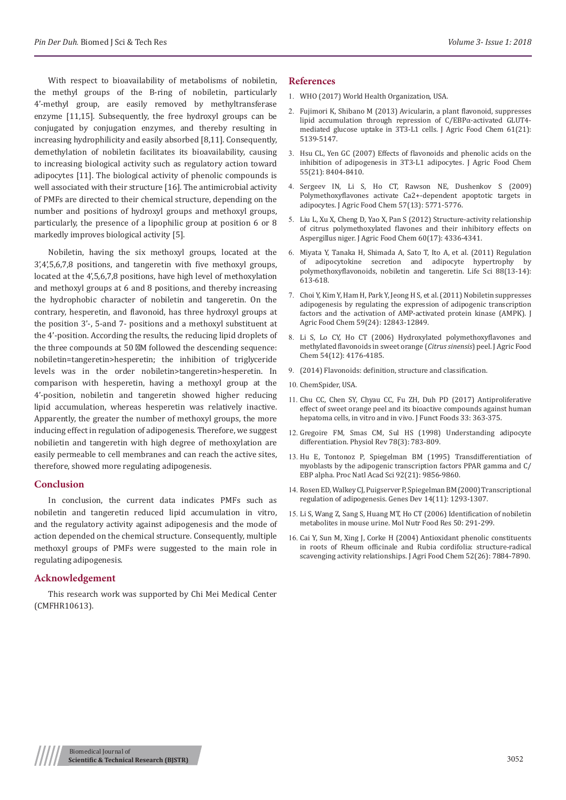With respect to bioavailability of metabolisms of nobiletin, the methyl groups of the B-ring of nobiletin, particularly 4'-methyl group, are easily removed by methyltransferase enzyme [11,15]. Subsequently, the free hydroxyl groups can be conjugated by conjugation enzymes, and thereby resulting in increasing hydrophilicity and easily absorbed [8,11]. Consequently, demethylation of nobiletin facilitates its bioavailability, causing to increasing biological activity such as regulatory action toward adipocytes [11]. The biological activity of phenolic compounds is well associated with their structure [16]. The antimicrobial activity of PMFs are directed to their chemical structure, depending on the number and positions of hydroxyl groups and methoxyl groups, particularly, the presence of a lipophilic group at position 6 or 8 markedly improves biological activity [5].

Nobiletin, having the six methoxyl groups, located at the 3',4',5,6,7,8 positions, and tangeretin with five methoxyl groups, located at the 4',5,6,7,8 positions, have high level of methoxylation and methoxyl groups at 6 and 8 positions, and thereby increasing the hydrophobic character of nobiletin and tangeretin. On the contrary, hesperetin, and flavonoid, has three hydroxyl groups at the position 3'-, 5-and 7- positions and a methoxyl substituent at the 4'-position. According the results, the reducing lipid droplets of the three compounds at 50 M followed the descending sequence: nobiletin=tangeretin>hesperetin; the inhibition of triglyceride levels was in the order nobiletin>tangeretin>hesperetin. In comparison with hesperetin, having a methoxyl group at the 4'-position, nobiletin and tangeretin showed higher reducing lipid accumulation, whereas hesperetin was relatively inactive. Apparently, the greater the number of methoxyl groups, the more inducing effect in regulation of adipogenesis. Therefore, we suggest nobilietin and tangeretin with high degree of methoxylation are easily permeable to cell membranes and can reach the active sites, therefore, showed more regulating adipogenesis.

#### **Conclusion**

In conclusion, the current data indicates PMFs such as nobiletin and tangeretin reduced lipid accumulation in vitro, and the regulatory activity against adipogenesis and the mode of action depended on the chemical structure. Consequently, multiple methoxyl groups of PMFs were suggested to the main role in regulating adipogenesis.

#### **Acknowledgement**

This research work was supported by Chi Mei Medical Center (CMFHR10613).

### **References**

- 1. WHO (2017) World Health Organization, USA.
- 2. [Fujimori K, Shibano M \(2013\) Avicularin, a plant flavonoid, suppresses](https://www.ncbi.nlm.nih.gov/pubmed/23647459) [lipid accumulation through repression of C/EBPα-activated GLUT4](https://www.ncbi.nlm.nih.gov/pubmed/23647459) [mediated glucose uptake in 3T3-L1 cells. J Agric Food Chem 61\(21\):](https://www.ncbi.nlm.nih.gov/pubmed/23647459) [5139-5147.](https://www.ncbi.nlm.nih.gov/pubmed/23647459)
- 3. [Hsu CL, Yen GC \(2007\) Effects of flavonoids and phenolic acids on the](https://www.ncbi.nlm.nih.gov/pubmed/17880164) [inhibition of adipogenesis in 3T3-L1 adipocytes. J Agric Food Chem](https://www.ncbi.nlm.nih.gov/pubmed/17880164) [55\(21\): 8404-8410.](https://www.ncbi.nlm.nih.gov/pubmed/17880164)
- 4. [Sergeev IN, Li S, Ho CT, Rawson NE, Dushenkov S \(2009\)](https://www.ncbi.nlm.nih.gov/pubmed/19522510) [Polymethoxyflavones activate Ca2+-dependent apoptotic targets in](https://www.ncbi.nlm.nih.gov/pubmed/19522510) [adipocytes. J Agric Food Chem 57\(13\): 5771-5776.](https://www.ncbi.nlm.nih.gov/pubmed/19522510)
- 5. [Liu L, Xu X, Cheng D, Yao X, Pan S \(2012\) Structure-activity relationship](https://www.ncbi.nlm.nih.gov/pubmed/22500738) [of citrus polymethoxylated flavones and their inhibitory effects on](https://www.ncbi.nlm.nih.gov/pubmed/22500738) [Aspergillus niger. J Agric Food Chem 60\(17\): 4336-4341.](https://www.ncbi.nlm.nih.gov/pubmed/22500738)
- 6. [Miyata Y, Tanaka H, Shimada A, Sato T, Ito A, et al. \(2011\) Regulation](https://www.ncbi.nlm.nih.gov/pubmed/21295043) [of adipocytokine secretion and adipocyte hypertrophy by](https://www.ncbi.nlm.nih.gov/pubmed/21295043) [polymethoxyflavonoids, nobiletin and tangeretin. Life Sci 88\(13-14\):](https://www.ncbi.nlm.nih.gov/pubmed/21295043) [613-618.](https://www.ncbi.nlm.nih.gov/pubmed/21295043)
- 7. [Choi Y, Kim Y, Ham H, Park Y, Jeong H S, et al. \(2011\) Nobiletin suppresses](https://www.ncbi.nlm.nih.gov/pubmed/22088202) [adipogenesis by regulating the expression of adipogenic transcription](https://www.ncbi.nlm.nih.gov/pubmed/22088202) [factors and the activation of AMP-activated protein kinase \(AMPK\). J](https://www.ncbi.nlm.nih.gov/pubmed/22088202) [Agric Food Chem 59\(24\): 12843-12849.](https://www.ncbi.nlm.nih.gov/pubmed/22088202)
- 8. [Li S, Lo CY, Ho CT \(2006\) Hydroxylated polymethoxyflavones and](https://www.ncbi.nlm.nih.gov/pubmed/16756344) [methylated flavonoids in sweet orange \(](https://www.ncbi.nlm.nih.gov/pubmed/16756344)*Citrus sinensis*) peel. J Agric Food [Chem 54\(12\): 4176-4185.](https://www.ncbi.nlm.nih.gov/pubmed/16756344)
- 9. [\(2014\) Flavonoids: definition, structure and classification.](file:///E:/biomed/BJSTR.MS.ID.000853/BJSTR-18-RA-869_W/1.%09http:/www.tuscany-diet.net/2014/01/22/flavonoids-definition-structure-classification/)
- 10. [ChemSpider, USA.](http://www.chemspider.com/)
- 11. [Chu CC, Chen SY, Chyau CC, Fu ZH, Duh PD \(2017\) Antiproliferative](https://www.sciencedirect.com/science/article/pii/S1756464617301779) [effect of sweet orange peel and its bioactive compounds against human](https://www.sciencedirect.com/science/article/pii/S1756464617301779) [hepatoma cells, in vitro and in vivo. J Funct Foods 33: 363-375.](https://www.sciencedirect.com/science/article/pii/S1756464617301779)
- 12. [Gregoire FM, Smas CM, Sul HS \(1998\) Understanding adipocyte](https://www.ncbi.nlm.nih.gov/pubmed/9674695) [differentiation. Physiol Rev 78\(3\): 783-809.](https://www.ncbi.nlm.nih.gov/pubmed/9674695)
- 13. [Hu E, Tontonoz P, Spiegelman BM \(1995\)](https://www.ncbi.nlm.nih.gov/pubmed/7568232) Transdifferentiation of [myoblasts by the adipogenic transcription factors PPAR gamma and C/](https://www.ncbi.nlm.nih.gov/pubmed/7568232) [EBP alpha. Proc Natl Acad Sci 92\(21\): 9856-9860.](https://www.ncbi.nlm.nih.gov/pubmed/7568232)
- 14. [Rosen ED, Walkey CJ, Puigserver P, Spiegelman BM \(2000\) Transcriptional](https://www.ncbi.nlm.nih.gov/pubmed/10837022) [regulation of adipogenesis. Genes Dev 14\(11\): 1293-1307.](https://www.ncbi.nlm.nih.gov/pubmed/10837022)
- 15. [Li S, Wang Z, Sang S, Huang MT, Ho CT \(2006\) Identification of nobiletin](https://www.ncbi.nlm.nih.gov/pubmed/16521176) [metabolites in mouse urine. Mol Nutr Food Res 50: 291-299.](https://www.ncbi.nlm.nih.gov/pubmed/16521176)
- 16. [Cai Y, Sun M, Xing J, Corke H \(2004\) Antioxidant phenolic constituents](https://www.ncbi.nlm.nih.gov/pubmed/15612771) [in roots of Rheum officinale and Rubia cordifolia: structure-radical](https://www.ncbi.nlm.nih.gov/pubmed/15612771) [scavenging activity relationships. J Agri Food Chem 52\(26\): 7884-7890.](https://www.ncbi.nlm.nih.gov/pubmed/15612771)